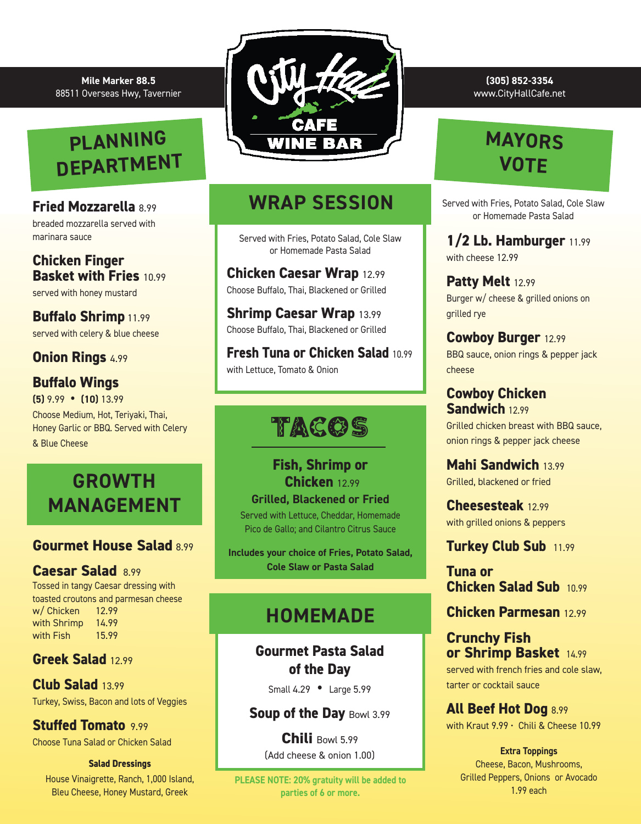#### **Mile Marker 88.5** 88511 Overseas Hwy, Tavernier

# **PLANNING DEPARTMENT**

#### **Fried Mozzarella** 8.99

breaded mozzarella served with marinara sauce

#### **Chicken Finger Basket with Fries** 10.99

served with honey mustard

#### **Buffalo Shrimp** 11.99 served with celery & blue cheese

### **Onion Rings** 4.99

### **Buffalo Wings**

**(5)** 9.99 **• (10)** 13.99 Choose Medium, Hot, Teriyaki, Thai, Honey Garlic or BBQ. Served with Celery & Blue Cheese

## **GROWTH MANAGEMENT**

### **Gourmet House Salad** 8.99

#### **Caesar Salad** 8.99

Tossed in tangy Caesar dressing with toasted croutons and parmesan cheese w/ Chicken 12.99 with Shrimp 14.99<br>with Fish 15.99 with Fish

#### **Greek Salad** 12.99

**Club Salad** 13.99 Turkey, Swiss, Bacon and lots of Veggies

**Stuffed Tomato** 9.99 Choose Tuna Salad or Chicken Salad

#### **Salad Dressings**

House Vinaigrette, Ranch, 1,000 Island, Bleu Cheese, Honey Mustard, Greek



## **WRAP SESSION**

Served with Fries, Potato Salad, Cole Slaw or Homemade Pasta Salad

**Chicken Caesar Wrap** 12.99 Choose Buffalo, Thai, Blackened or Grilled

**Shrimp Caesar Wrap** 13.99 Choose Buffalo, Thai, Blackened or Grilled

**Fresh Tuna or Chicken Salad** 10.99 with Lettuce, Tomato & Onion

# TACOS

**Fish, Shrimp or Chicken** 12.99 **Grilled, Blackened or Fried** Served with Lettuce, Cheddar, Homemade Pico de Gallo; and Cilantro Citrus Sauce

**Includes your choice of Fries, Potato Salad, Cole Slaw or Pasta Salad**

### **HOMEMADE**

**Gourmet Pasta Salad of the Day** 

Small 4.29 **•** Large 5.99

**Soup of the Day Bowl 3.99** 

**Chili** Bowl 5.99 (Add cheese & onion 1.00)

**PLEASE NOTE: 20% gratuity will be added to parties of 6 or more.** 

**(305) 852-3354**  www.CityHallCafe.net

# **MAYORS VOTE**

Served with Fries, Potato Salad, Cole Slaw or Homemade Pasta Salad

**1/2 Lb. Hamburger** 11.99 with cheese 12.99

**Patty Melt** 12.99 Burger w/ cheese & grilled onions on grilled rye

**Cowboy Burger** 12.99 BBQ sauce, onion rings & pepper jack cheese

**Cowboy Chicken Sandwich** 12.99 Grilled chicken breast with BBQ sauce, onion rings & pepper jack cheese

**Mahi Sandwich** 13.99 Grilled, blackened or fried

**Cheesesteak** 12.99 with grilled onions & peppers

**Turkey Club Sub** 11.99

**Tuna or Chicken Salad Sub** 10.99

**Chicken Parmesan** 12.99

**Crunchy Fish or Shrimp Basket** 14.99

served with french fries and cole slaw, tarter or cocktail sauce

**All Beef Hot Dog** 8.99 with Kraut 9.99 · Chili & Cheese 10.99

**Extra Toppings** Cheese, Bacon, Mushrooms, Grilled Peppers, Onions or Avocado 1.99 each